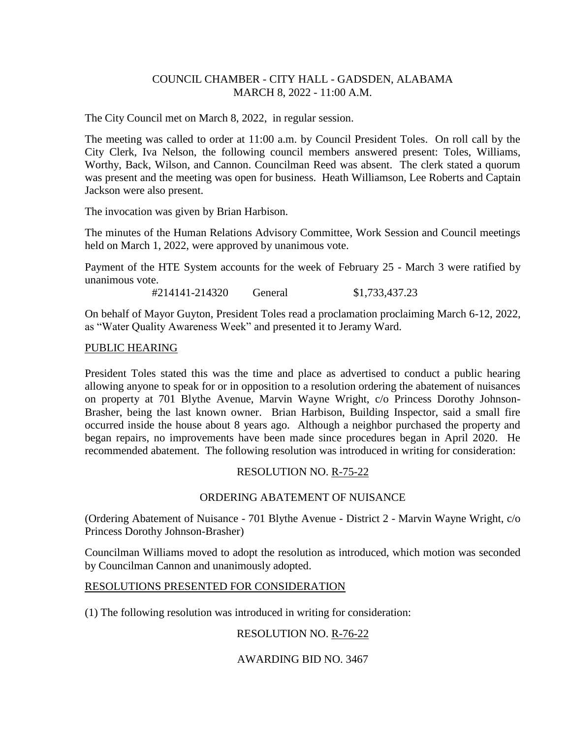## COUNCIL CHAMBER - CITY HALL - GADSDEN, ALABAMA MARCH 8, 2022 - 11:00 A.M.

The City Council met on March 8, 2022, in regular session.

The meeting was called to order at 11:00 a.m. by Council President Toles. On roll call by the City Clerk, Iva Nelson, the following council members answered present: Toles, Williams, Worthy, Back, Wilson, and Cannon. Councilman Reed was absent. The clerk stated a quorum was present and the meeting was open for business. Heath Williamson, Lee Roberts and Captain Jackson were also present.

The invocation was given by Brian Harbison.

The minutes of the Human Relations Advisory Committee, Work Session and Council meetings held on March 1, 2022, were approved by unanimous vote.

Payment of the HTE System accounts for the week of February 25 - March 3 were ratified by unanimous vote.

#214141-214320 General \$1,733,437.23

On behalf of Mayor Guyton, President Toles read a proclamation proclaiming March 6-12, 2022, as "Water Quality Awareness Week" and presented it to Jeramy Ward.

## PUBLIC HEARING

President Toles stated this was the time and place as advertised to conduct a public hearing allowing anyone to speak for or in opposition to a resolution ordering the abatement of nuisances on property at 701 Blythe Avenue, Marvin Wayne Wright, c/o Princess Dorothy Johnson-Brasher, being the last known owner. Brian Harbison, Building Inspector, said a small fire occurred inside the house about 8 years ago. Although a neighbor purchased the property and began repairs, no improvements have been made since procedures began in April 2020. He recommended abatement. The following resolution was introduced in writing for consideration:

# RESOLUTION NO. R-75-22

## ORDERING ABATEMENT OF NUISANCE

(Ordering Abatement of Nuisance - 701 Blythe Avenue - District 2 - Marvin Wayne Wright, c/o Princess Dorothy Johnson-Brasher)

Councilman Williams moved to adopt the resolution as introduced, which motion was seconded by Councilman Cannon and unanimously adopted.

## RESOLUTIONS PRESENTED FOR CONSIDERATION

(1) The following resolution was introduced in writing for consideration:

# RESOLUTION NO. R-76-22

# AWARDING BID NO. 3467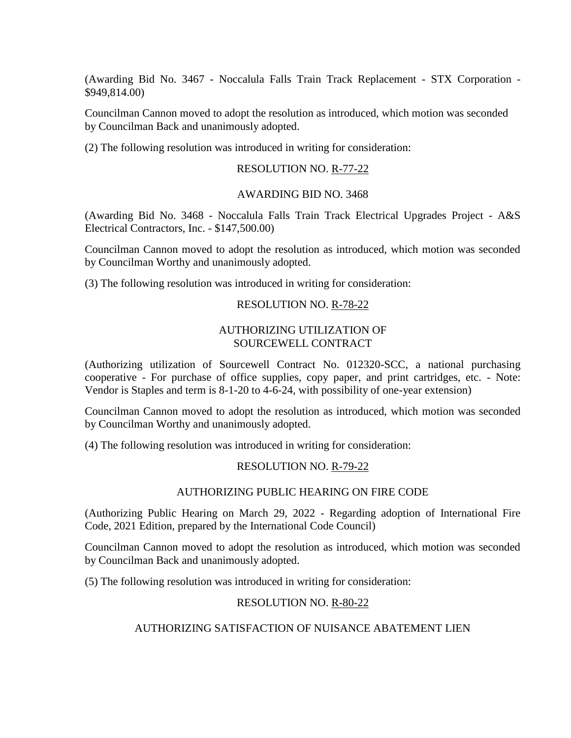(Awarding Bid No. 3467 - Noccalula Falls Train Track Replacement - STX Corporation - \$949,814.00)

Councilman Cannon moved to adopt the resolution as introduced, which motion was seconded by Councilman Back and unanimously adopted.

(2) The following resolution was introduced in writing for consideration:

#### RESOLUTION NO. R-77-22

#### AWARDING BID NO. 3468

(Awarding Bid No. 3468 - Noccalula Falls Train Track Electrical Upgrades Project - A&S Electrical Contractors, Inc. - \$147,500.00)

Councilman Cannon moved to adopt the resolution as introduced, which motion was seconded by Councilman Worthy and unanimously adopted.

(3) The following resolution was introduced in writing for consideration:

#### RESOLUTION NO. R-78-22

#### AUTHORIZING UTILIZATION OF SOURCEWELL CONTRACT

(Authorizing utilization of Sourcewell Contract No. 012320-SCC, a national purchasing cooperative - For purchase of office supplies, copy paper, and print cartridges, etc. - Note: Vendor is Staples and term is 8-1-20 to 4-6-24, with possibility of one-year extension)

Councilman Cannon moved to adopt the resolution as introduced, which motion was seconded by Councilman Worthy and unanimously adopted.

(4) The following resolution was introduced in writing for consideration:

## RESOLUTION NO. R-79-22

# AUTHORIZING PUBLIC HEARING ON FIRE CODE

(Authorizing Public Hearing on March 29, 2022 - Regarding adoption of International Fire Code, 2021 Edition, prepared by the International Code Council)

Councilman Cannon moved to adopt the resolution as introduced, which motion was seconded by Councilman Back and unanimously adopted.

(5) The following resolution was introduced in writing for consideration:

## RESOLUTION NO. R-80-22

## AUTHORIZING SATISFACTION OF NUISANCE ABATEMENT LIEN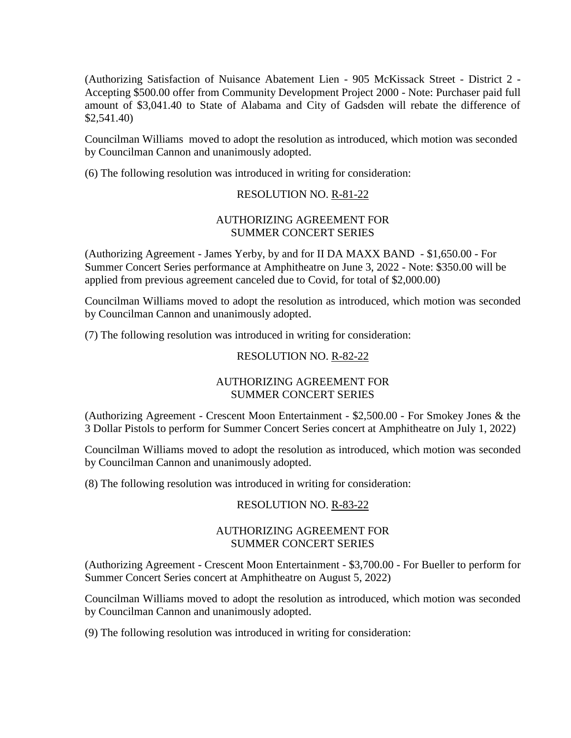(Authorizing Satisfaction of Nuisance Abatement Lien - 905 McKissack Street - District 2 - Accepting \$500.00 offer from Community Development Project 2000 - Note: Purchaser paid full amount of \$3,041.40 to State of Alabama and City of Gadsden will rebate the difference of \$2,541.40)

Councilman Williams moved to adopt the resolution as introduced, which motion was seconded by Councilman Cannon and unanimously adopted.

(6) The following resolution was introduced in writing for consideration:

## RESOLUTION NO. R-81-22

## AUTHORIZING AGREEMENT FOR SUMMER CONCERT SERIES

(Authorizing Agreement - James Yerby, by and for II DA MAXX BAND - \$1,650.00 - For Summer Concert Series performance at Amphitheatre on June 3, 2022 - Note: \$350.00 will be applied from previous agreement canceled due to Covid, for total of \$2,000.00)

Councilman Williams moved to adopt the resolution as introduced, which motion was seconded by Councilman Cannon and unanimously adopted.

(7) The following resolution was introduced in writing for consideration:

## RESOLUTION NO. R-82-22

# AUTHORIZING AGREEMENT FOR SUMMER CONCERT SERIES

(Authorizing Agreement - Crescent Moon Entertainment - \$2,500.00 - For Smokey Jones & the 3 Dollar Pistols to perform for Summer Concert Series concert at Amphitheatre on July 1, 2022)

Councilman Williams moved to adopt the resolution as introduced, which motion was seconded by Councilman Cannon and unanimously adopted.

(8) The following resolution was introduced in writing for consideration:

## RESOLUTION NO. R-83-22

## AUTHORIZING AGREEMENT FOR SUMMER CONCERT SERIES

(Authorizing Agreement - Crescent Moon Entertainment - \$3,700.00 - For Bueller to perform for Summer Concert Series concert at Amphitheatre on August 5, 2022)

Councilman Williams moved to adopt the resolution as introduced, which motion was seconded by Councilman Cannon and unanimously adopted.

(9) The following resolution was introduced in writing for consideration: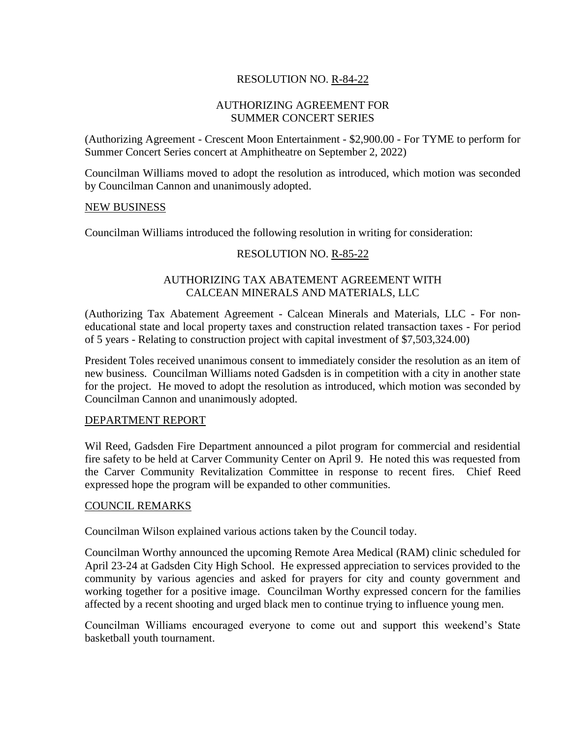# RESOLUTION NO. R-84-22

## AUTHORIZING AGREEMENT FOR SUMMER CONCERT SERIES

(Authorizing Agreement - Crescent Moon Entertainment - \$2,900.00 - For TYME to perform for Summer Concert Series concert at Amphitheatre on September 2, 2022)

Councilman Williams moved to adopt the resolution as introduced, which motion was seconded by Councilman Cannon and unanimously adopted.

#### NEW BUSINESS

Councilman Williams introduced the following resolution in writing for consideration:

## RESOLUTION NO. R-85-22

## AUTHORIZING TAX ABATEMENT AGREEMENT WITH CALCEAN MINERALS AND MATERIALS, LLC

(Authorizing Tax Abatement Agreement - Calcean Minerals and Materials, LLC - For noneducational state and local property taxes and construction related transaction taxes - For period of 5 years - Relating to construction project with capital investment of \$7,503,324.00)

President Toles received unanimous consent to immediately consider the resolution as an item of new business. Councilman Williams noted Gadsden is in competition with a city in another state for the project. He moved to adopt the resolution as introduced, which motion was seconded by Councilman Cannon and unanimously adopted.

#### DEPARTMENT REPORT

Wil Reed, Gadsden Fire Department announced a pilot program for commercial and residential fire safety to be held at Carver Community Center on April 9. He noted this was requested from the Carver Community Revitalization Committee in response to recent fires. Chief Reed expressed hope the program will be expanded to other communities.

#### COUNCIL REMARKS

Councilman Wilson explained various actions taken by the Council today.

Councilman Worthy announced the upcoming Remote Area Medical (RAM) clinic scheduled for April 23-24 at Gadsden City High School. He expressed appreciation to services provided to the community by various agencies and asked for prayers for city and county government and working together for a positive image. Councilman Worthy expressed concern for the families affected by a recent shooting and urged black men to continue trying to influence young men.

Councilman Williams encouraged everyone to come out and support this weekend's State basketball youth tournament.